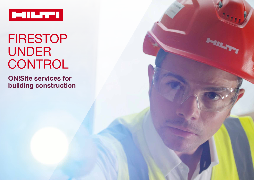

# FIRESTOP UNDER CONTROL

**MANY** 

 **ON!Site services for building construction**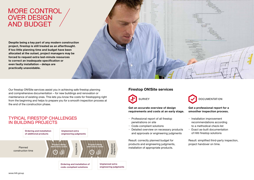### MORE CONTROL OVER DESIGN AND BUDGET

**Despite being a key part of any modern construction project, firestop is still treated as an afterthought. If too little planning time and budget have been allocated at the outset, project managers may be forced to request extra last-minute resources to correct an inadequate specification or even faulty installation – delays are practically unavoidable.**



Our firestop ON!Site services assist you in achieving safe firestop planning and comprehensive documentation – for new buildings and renovation or maintenance of existing ones. This lets you know the costs for firestopping right from the beginning and helps to prepare you for a smooth inspection process at the end of the construction phase.

#### TYPICAL FIRESTOP CHALLENGES IN BUILDING PROJECTS



#### **Firestop ON!Site services**



**Get an accurate overview of design requirements and costs at an early stage.**

- Professional report of all firestop penetrations on site
- Code-compliant solutions
- Detailed overview on necessary products and approvals or engineering judgments

Result: correctly planned budget for products and engineering judgments, installation of appropriate products.



#### **Get a professional report for a smoother inspection process.**

- Installation improvement recommendations according to a methodical check-list
- Exact as-built documentation of Hilti firestop solutions

Result: simplified third-party inspection, project handover on time.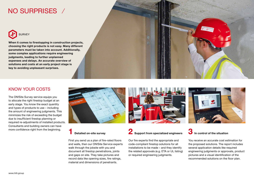### NO SURPRISES



**When it comes to firestopping in construction projects, choosing the right products is not easy. Many different parameters must be taken into account. Additionally, some complex applications require engineering judgments, leading to further unplanned expenses and delays. An accurate overview of solutions and costs at an early project stage is key to avoiding unpleasant surprises.**

#### KNOW YOUR COSTS

The ON!Site Survey service equips you to allocate the right firestop budget at an early stage. You know the exact quantity and types of products to use – including the amount of engineering judgments. This minimizes the risk of exceeding the budget due to insufficient firestop planning or required re-adjustments of installed products. Consultants and building owners can have



#### **1 Detailed on-site survey**

First you send us a plan of fire-rated floors and walls, then our ON!Site Service experts walk through the jobsite with you and document all firestop penetrations, joints and gaps on site. They take pictures and record data like opening sizes, fire ratings, material and dimensions of penetrants.

## more confidence right from the beginning.<br>**2 Support from specialized engineers**<br>**2 Support from specialized engineers**

Our fire experts find the appropriate and code-compliant firestop solutions for all installations to be made – and they identify the related approvals (e.g. ETA or UL listing) or required engineering judgments.



### **3 In control of the situation**

You receive an accurate cost estimation for the proposed solutions. The report includes several application details like required engineering judgments or approvals, product pictures and a visual identification of the recommended solutions on the floor plan.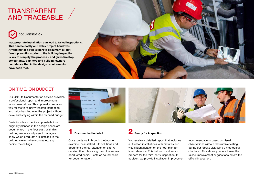### TRANSPARENT AND TRACEABLE



**Inappropriate installation can lead to failed inspections. This can be costly and delay project handover. Arranging for a Hilti expert to document all Hilti firestop solutions prior to the building inspection is key to simplify the process – and gives firestop consultants, planners and building owners confidence that initial design requirements have been met.**



#### ON TIME, ON BUDGET

Our ON!Site Documentation service provides a professional report and improvement recommendations. This optimally prepares you for the third-party firestop inspection and helps handing over the project without delay and staying within the planned budget.

Deviations from the firestop installations originally planned in the design phase are documented in the floor plan. With this, building owners and project managers know which products are installed in the building – even when concealed, e.g. behind the ceilings.



### **1 Documented in detail**

Our experts walk through the jobsite, examine the installed Hilti solutions and document the real situation on site. A detailed floor plan – e.g. from the survey conducted earlier – acts as sound basis for documentation.



You receive a detailed report that includes all firestop installations with pictures and visual identification on the floor plan for later reference. This helps consultants to prepare for the third-party inspection. In addition, we provide installation improvement

recommendations based on visual observations without destructive testing during our jobsite visit using a methodical check-list. This allows you to address the raised improvement suggestions before the official inspection.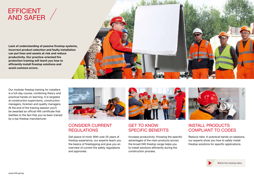### EFFICIENT AND SAFER

**Lack of understanding of passive firestop systems, incorrect product selection and faulty installation can put lives and assets at risk and reduce productivity. Our practice-oriented fire protection training will teach you how to efficiently install firestop solutions and avoid common errors.**

Our modular firestop training for installers is a full-day course, combining theory and practical hands-on learning. It is targeted at construction supervisors, construction managers, foremen and quality managers. At the end of the training session you'll be awarded an official Hilti certificate that

by a top firestop manufacturer.

testifies to the fact that you've been trained

#### CONSIDER CURRENT **REGULATIONS**

Get peace of mind: With over 25 years of firestop experience, our experts teach you the basics of firestopping and give you an overview of current fire safety regulations and approvals.

#### GET TO KNOW SPECIFIC BENEFITS

Increase productivity: Knowing the specific advantages of the main products across the broad Hilti firestop range helps you to install solutions efficiently during the construction process.

#### INSTALL PRODUCTS COMPLIANT TO CODES

Reduce risks: In practical hands-on sessions, our experts show you how to safely install firestop solutions for specific applications.



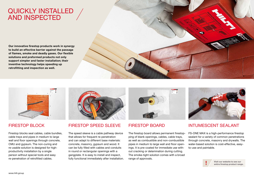### QUICKLY INSTALLED AND INSPECTED

**Our innovative firestop products work in synergy to build an effective barrier against the passage of flames, smoke and deadly gases. Our flexible solutions and preformed products not only support simpler and faster installation; their inventive technology helps speeding up retrofitting and inspection as well.**





#### FIRESTOP BLOCK

Firestop blocks seal cables, cable bundles, cable trays and pipes in medium to large wall and floor openings through concrete, CMU and gypsum. The non-curing and re-usable solution is designed for highproductivity installation by a single person without special tools and easy re-penetration of retrofitted cables.



#### FIRESTOP SPEED SLEEVE

The speed sleeve is a cable pathway device that allows for frequent re-penetration and can adapt to different base materials: concrete, masonry, gypsum and wood. It can be fully filled with cables and conduits in round or rectangular openings with a gangplate. It is easy to install and inspect, fully functional immediately after installation.



#### FIRESTOP BOARD

The firestop board allows permanent firestopping of blank openings, cables, cable trays, as well as combustible and non-combustible pipes in medium to large wall and floor openings. It is pre-coated for immediate use without cracking or delamination during cutting. The smoke-tight solution comes with a broad range of approvals.



#### INTUMESCENT SEALANT

FS-ONE MAX is a high-performance firestop sealant for a variety of common penetrations through concrete, masonry and drywalls. The water-based solution is cost-effective, easyto-use and paintable.